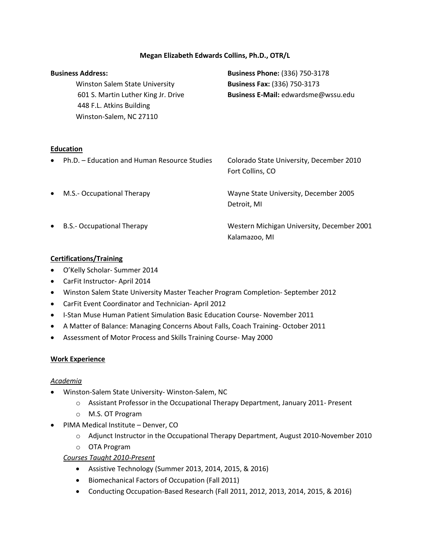#### **Megan Elizabeth Edwards Collins, Ph.D., OTR/L**

|   | <b>Business Address:</b><br><b>Winston Salem State University</b><br>601 S. Martin Luther King Jr. Drive<br>448 F.L. Atkins Building<br>Winston-Salem, NC 27110 | <b>Business Phone: (336) 750-3178</b><br><b>Business Fax: (336) 750-3173</b><br>Business E-Mail: edwardsme@wssu.edu |
|---|-----------------------------------------------------------------------------------------------------------------------------------------------------------------|---------------------------------------------------------------------------------------------------------------------|
|   | <b>Education</b><br>Ph.D. - Education and Human Resource Studies                                                                                                | Colorado State University, December 2010<br>Fort Collins, CO                                                        |
|   | M.S.- Occupational Therapy                                                                                                                                      | Wayne State University, December 2005<br>Detroit, MI                                                                |
| ٠ | <b>B.S.- Occupational Therapy</b>                                                                                                                               | Western Michigan University, December 2001<br>Kalamazoo, MI                                                         |

#### **Certifications/Training**

- O'Kelly Scholar- Summer 2014
- CarFit Instructor- April 2014
- Winston Salem State University Master Teacher Program Completion- September 2012
- CarFit Event Coordinator and Technician- April 2012
- I-Stan Muse Human Patient Simulation Basic Education Course- November 2011
- A Matter of Balance: Managing Concerns About Falls, Coach Training- October 2011
- Assessment of Motor Process and Skills Training Course- May 2000

#### **Work Experience**

#### *Academia*

- Winston-Salem State University- Winston-Salem, NC
	- o Assistant Professor in the Occupational Therapy Department, January 2011- Present
	- o M.S. OT Program
- PIMA Medical Institute Denver, CO
	- o Adjunct Instructor in the Occupational Therapy Department, August 2010-November 2010
	- o OTA Program

#### *Courses Taught 2010-Present*

- Assistive Technology (Summer 2013, 2014, 2015, & 2016)
- Biomechanical Factors of Occupation (Fall 2011)
- Conducting Occupation-Based Research (Fall 2011, 2012, 2013, 2014, 2015, & 2016)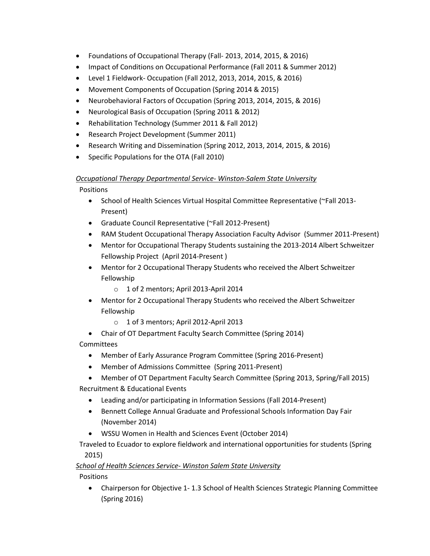- Foundations of Occupational Therapy (Fall- 2013, 2014, 2015, & 2016)
- Impact of Conditions on Occupational Performance (Fall 2011 & Summer 2012)
- Level 1 Fieldwork- Occupation (Fall 2012, 2013, 2014, 2015, & 2016)
- Movement Components of Occupation (Spring 2014 & 2015)
- Neurobehavioral Factors of Occupation (Spring 2013, 2014, 2015, & 2016)
- Neurological Basis of Occupation (Spring 2011 & 2012)
- Rehabilitation Technology (Summer 2011 & Fall 2012)
- Research Project Development (Summer 2011)
- Research Writing and Dissemination (Spring 2012, 2013, 2014, 2015, & 2016)
- Specific Populations for the OTA (Fall 2010)

### *Occupational Therapy Departmental Service- Winston-Salem State University*

Positions

- School of Health Sciences Virtual Hospital Committee Representative (~Fall 2013-Present)
- Graduate Council Representative (~Fall 2012-Present)
- RAM Student Occupational Therapy Association Faculty Advisor (Summer 2011-Present)
- Mentor for Occupational Therapy Students sustaining the 2013-2014 Albert Schweitzer Fellowship Project (April 2014-Present )
- Mentor for 2 Occupational Therapy Students who received the Albert Schweitzer Fellowship
	- o 1 of 2 mentors; April 2013-April 2014
- Mentor for 2 Occupational Therapy Students who received the Albert Schweitzer Fellowship
	- o 1 of 3 mentors; April 2012-April 2013
- Chair of OT Department Faculty Search Committee (Spring 2014)

**Committees** 

- Member of Early Assurance Program Committee (Spring 2016-Present)
- Member of Admissions Committee (Spring 2011-Present)
- Member of OT Department Faculty Search Committee (Spring 2013, Spring/Fall 2015) Recruitment & Educational Events
	- Leading and/or participating in Information Sessions (Fall 2014-Present)
	- Bennett College Annual Graduate and Professional Schools Information Day Fair (November 2014)
	- WSSU Women in Health and Sciences Event (October 2014)

 Traveled to Ecuador to explore fieldwork and international opportunities for students (Spring 2015)

# *School of Health Sciences Service- Winston Salem State University*

**Positions** 

 Chairperson for Objective 1- 1.3 School of Health Sciences Strategic Planning Committee (Spring 2016)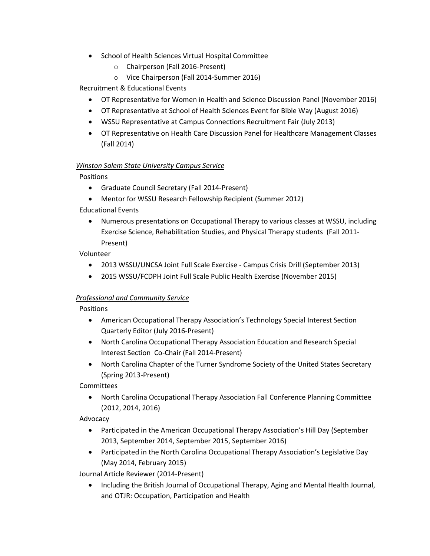- School of Health Sciences Virtual Hospital Committee
	- o Chairperson (Fall 2016-Present)
	- o Vice Chairperson (Fall 2014-Summer 2016)

Recruitment & Educational Events

- OT Representative for Women in Health and Science Discussion Panel (November 2016)
- OT Representative at School of Health Sciences Event for Bible Way (August 2016)
- WSSU Representative at Campus Connections Recruitment Fair (July 2013)
- OT Representative on Health Care Discussion Panel for Healthcare Management Classes (Fall 2014)

#### *Winston Salem State University Campus Service*

Positions

- Graduate Council Secretary (Fall 2014-Present)
- Mentor for WSSU Research Fellowship Recipient (Summer 2012)

Educational Events

 Numerous presentations on Occupational Therapy to various classes at WSSU, including Exercise Science, Rehabilitation Studies, and Physical Therapy students (Fall 2011- Present)

Volunteer

- 2013 WSSU/UNCSA Joint Full Scale Exercise Campus Crisis Drill (September 2013)
- 2015 WSSU/FCDPH Joint Full Scale Public Health Exercise (November 2015)

#### *Professional and Community Service*

Positions

- American Occupational Therapy Association's Technology Special Interest Section Quarterly Editor (July 2016-Present)
- North Carolina Occupational Therapy Association Education and Research Special Interest Section Co-Chair (Fall 2014-Present)
- North Carolina Chapter of the Turner Syndrome Society of the United States Secretary (Spring 2013-Present)

Committees

 North Carolina Occupational Therapy Association Fall Conference Planning Committee (2012, 2014, 2016)

Advocacy

- Participated in the American Occupational Therapy Association's Hill Day (September 2013, September 2014, September 2015, September 2016)
- Participated in the North Carolina Occupational Therapy Association's Legislative Day (May 2014, February 2015)

Journal Article Reviewer (2014-Present)

• Including the British Journal of Occupational Therapy, Aging and Mental Health Journal, and OTJR: Occupation, Participation and Health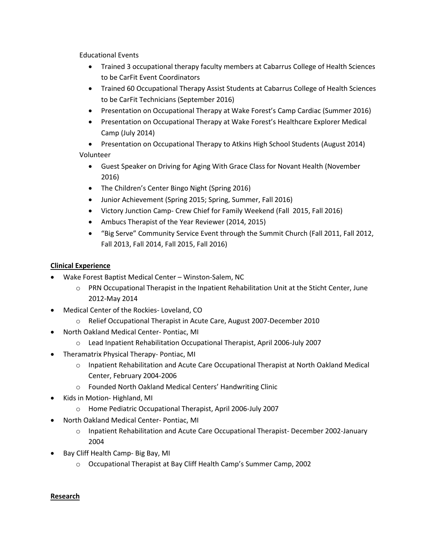Educational Events

- Trained 3 occupational therapy faculty members at Cabarrus College of Health Sciences to be CarFit Event Coordinators
- Trained 60 Occupational Therapy Assist Students at Cabarrus College of Health Sciences to be CarFit Technicians (September 2016)
- Presentation on Occupational Therapy at Wake Forest's Camp Cardiac (Summer 2016)
- Presentation on Occupational Therapy at Wake Forest's Healthcare Explorer Medical Camp (July 2014)

 Presentation on Occupational Therapy to Atkins High School Students (August 2014) Volunteer

- Guest Speaker on Driving for Aging With Grace Class for Novant Health (November 2016)
- The Children's Center Bingo Night (Spring 2016)
- Junior Achievement (Spring 2015; Spring, Summer, Fall 2016)
- Victory Junction Camp- Crew Chief for Family Weekend (Fall 2015, Fall 2016)
- Ambucs Therapist of the Year Reviewer (2014, 2015)
- "Big Serve" Community Service Event through the Summit Church (Fall 2011, Fall 2012, Fall 2013, Fall 2014, Fall 2015, Fall 2016)

### **Clinical Experience**

- Wake Forest Baptist Medical Center Winston-Salem, NC
	- o PRN Occupational Therapist in the Inpatient Rehabilitation Unit at the Sticht Center, June 2012-May 2014
- Medical Center of the Rockies- Loveland, CO
	- o Relief Occupational Therapist in Acute Care, August 2007-December 2010
- North Oakland Medical Center- Pontiac, MI
	- o Lead Inpatient Rehabilitation Occupational Therapist, April 2006-July 2007
- Theramatrix Physical Therapy- Pontiac, MI
	- o Inpatient Rehabilitation and Acute Care Occupational Therapist at North Oakland Medical Center, February 2004-2006
	- o Founded North Oakland Medical Centers' Handwriting Clinic
- Kids in Motion- Highland, MI
	- o Home Pediatric Occupational Therapist, April 2006-July 2007
- North Oakland Medical Center- Pontiac, MI
	- o Inpatient Rehabilitation and Acute Care Occupational Therapist- December 2002-January 2004
- Bay Cliff Health Camp- Big Bay, MI
	- o Occupational Therapist at Bay Cliff Health Camp's Summer Camp, 2002

#### **Research**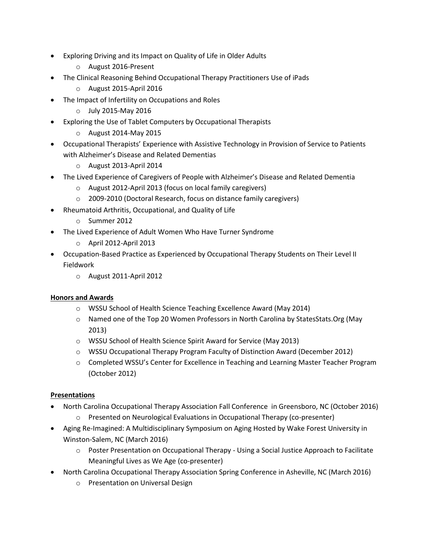- Exploring Driving and its Impact on Quality of Life in Older Adults
	- o August 2016-Present
- The Clinical Reasoning Behind Occupational Therapy Practitioners Use of iPads
	- o August 2015-April 2016
- The Impact of Infertility on Occupations and Roles
	- o July 2015-May 2016
- Exploring the Use of Tablet Computers by Occupational Therapists
	- o August 2014-May 2015
- Occupational Therapists' Experience with Assistive Technology in Provision of Service to Patients with Alzheimer's Disease and Related Dementias
	- o August 2013-April 2014
- The Lived Experience of Caregivers of People with Alzheimer's Disease and Related Dementia
	- o August 2012-April 2013 (focus on local family caregivers)
	- o 2009-2010 (Doctoral Research, focus on distance family caregivers)
- Rheumatoid Arthritis, Occupational, and Quality of Life
	- o Summer 2012
- The Lived Experience of Adult Women Who Have Turner Syndrome
	- o April 2012-April 2013
- Occupation-Based Practice as Experienced by Occupational Therapy Students on Their Level II Fieldwork
	- o August 2011-April 2012

# **Honors and Awards**

- o WSSU School of Health Science Teaching Excellence Award (May 2014)
- o Named one of the Top 20 Women Professors in North Carolina by StatesStats.Org (May 2013)
- o WSSU School of Health Science Spirit Award for Service (May 2013)
- o WSSU Occupational Therapy Program Faculty of Distinction Award (December 2012)
- o Completed WSSU's Center for Excellence in Teaching and Learning Master Teacher Program (October 2012)

# **Presentations**

- North Carolina Occupational Therapy Association Fall Conference in Greensboro, NC (October 2016)
	- o Presented on Neurological Evaluations in Occupational Therapy (co-presenter)
- Aging Re-Imagined: A Multidisciplinary Symposium on Aging Hosted by Wake Forest University in Winston-Salem, NC (March 2016)
	- o Poster Presentation on Occupational Therapy Using a Social Justice Approach to Facilitate Meaningful Lives as We Age (co-presenter)
- North Carolina Occupational Therapy Association Spring Conference in Asheville, NC (March 2016)
	- o Presentation on Universal Design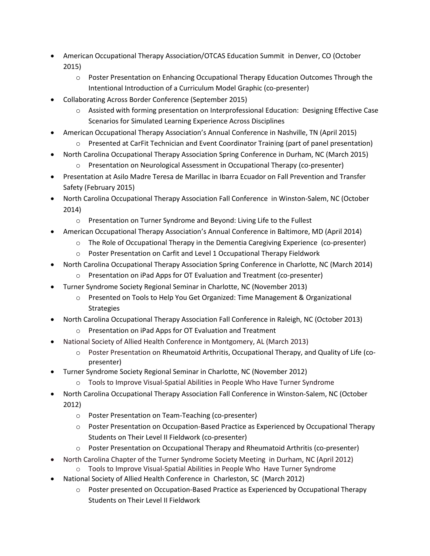- American Occupational Therapy Association/OTCAS Education Summit in Denver, CO (October 2015)
	- o Poster Presentation on Enhancing Occupational Therapy Education Outcomes Through the Intentional Introduction of a Curriculum Model Graphic (co-presenter)
- Collaborating Across Border Conference (September 2015)
	- o Assisted with forming presentation on Interprofessional Education: Designing Effective Case Scenarios for Simulated Learning Experience Across Disciplines
- American Occupational Therapy Association's Annual Conference in Nashville, TN (April 2015)
	- o Presented at CarFit Technician and Event Coordinator Training (part of panel presentation)
- North Carolina Occupational Therapy Association Spring Conference in Durham, NC (March 2015)
	- o Presentation on Neurological Assessment in Occupational Therapy (co-presenter)
- Presentation at Asilo Madre Teresa de Marillac in Ibarra Ecuador on Fall Prevention and Transfer Safety (February 2015)
- North Carolina Occupational Therapy Association Fall Conference in Winston-Salem, NC (October 2014)
	- o Presentation on Turner Syndrome and Beyond: Living Life to the Fullest
- American Occupational Therapy Association's Annual Conference in Baltimore, MD (April 2014)
	- o The Role of Occupational Therapy in the Dementia Caregiving Experience (co-presenter)
	- o Poster Presentation on Carfit and Level 1 Occupational Therapy Fieldwork
- North Carolina Occupational Therapy Association Spring Conference in Charlotte, NC (March 2014)
	- o Presentation on iPad Apps for OT Evaluation and Treatment (co-presenter)
- Turner Syndrome Society Regional Seminar in Charlotte, NC (November 2013)
	- o Presented on Tools to Help You Get Organized: Time Management & Organizational Strategies
- North Carolina Occupational Therapy Association Fall Conference in Raleigh, NC (October 2013)
	- o Presentation on iPad Apps for OT Evaluation and Treatment
- National Society of Allied Health Conference in Montgomery, AL (March 2013)
	- o Poster Presentation on Rheumatoid Arthritis, Occupational Therapy, and Quality of Life (copresenter)
- Turner Syndrome Society Regional Seminar in Charlotte, NC (November 2012)
	- o Tools to Improve Visual-Spatial Abilities in People Who Have Turner Syndrome
- North Carolina Occupational Therapy Association Fall Conference in Winston-Salem, NC (October 2012)
	- o Poster Presentation on Team-Teaching (co-presenter)
	- o Poster Presentation on Occupation-Based Practice as Experienced by Occupational Therapy Students on Their Level II Fieldwork (co-presenter)
	- o Poster Presentation on Occupational Therapy and Rheumatoid Arthritis (co-presenter)
- North Carolina Chapter of the Turner Syndrome Society Meeting in Durham, NC (April 2012)
	- o Tools to Improve Visual-Spatial Abilities in People Who Have Turner Syndrome
- National Society of Allied Health Conference in Charleston, SC (March 2012)
	- o Poster presented on Occupation-Based Practice as Experienced by Occupational Therapy Students on Their Level II Fieldwork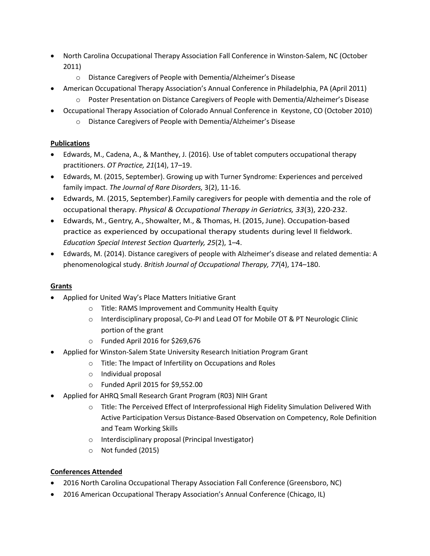- North Carolina Occupational Therapy Association Fall Conference in Winston-Salem, NC (October 2011)
	- o Distance Caregivers of People with Dementia/Alzheimer's Disease
	- American Occupational Therapy Association's Annual Conference in Philadelphia, PA (April 2011)
		- o Poster Presentation on Distance Caregivers of People with Dementia/Alzheimer's Disease
- Occupational Therapy Association of Colorado Annual Conference in Keystone, CO (October 2010)
	- o Distance Caregivers of People with Dementia/Alzheimer's Disease

# **Publications**

- Edwards, M., Cadena, A., & Manthey, J. (2016). Use of tablet computers occupational therapy practitioners. *OT Practice, 21*(14), 17–19.
- Edwards, M. (2015, September). Growing up with Turner Syndrome: Experiences and perceived family impact. *The Journal of Rare Disorders,* 3(2), 11-16.
- Edwards, M. (2015, September).Family caregivers for people with dementia and the role of occupational therapy. *Physical & Occupational Therapy in Geriatrics, 33*(3), 220-232.
- Edwards, M., Gentry, A., Showalter, M., & Thomas, H. (2015, June). Occupation-based practice as experienced by occupational therapy students during level II fieldwork. *Education Special Interest Section Quarterly, 25*(2), 1–4.
- Edwards, M. (2014). Distance caregivers of people with Alzheimer's disease and related dementia: A phenomenological study. *British Journal of Occupational Therapy, 77*(4), 174–180.

# **Grants**

- Applied for United Way's Place Matters Initiative Grant
	- o Title: RAMS Improvement and Community Health Equity
	- o Interdisciplinary proposal, Co-PI and Lead OT for Mobile OT & PT Neurologic Clinic portion of the grant
	- o Funded April 2016 for \$269,676
- Applied for Winston-Salem State University Research Initiation Program Grant
	- o Title: The Impact of Infertility on Occupations and Roles
	- o Individual proposal
	- o Funded April 2015 for \$9,552.00
- Applied for AHRQ Small Research Grant Program (R03) NIH Grant
	- o Title: The Perceived Effect of Interprofessional High Fidelity Simulation Delivered With Active Participation Versus Distance-Based Observation on Competency, Role Definition and Team Working Skills
	- o Interdisciplinary proposal (Principal Investigator)
	- o Not funded (2015)

# **Conferences Attended**

- 2016 North Carolina Occupational Therapy Association Fall Conference (Greensboro, NC)
- 2016 American Occupational Therapy Association's Annual Conference (Chicago, IL)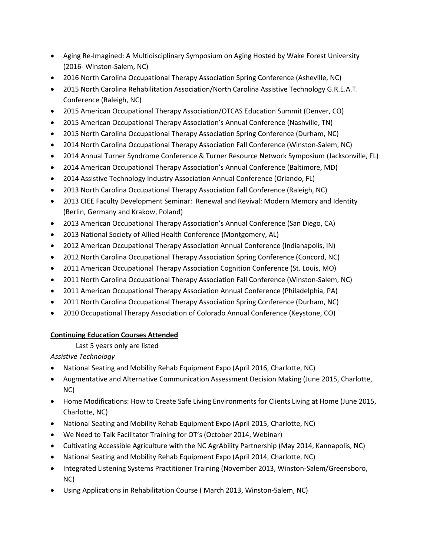- Aging Re-Imagined: A Multidisciplinary Symposium on Aging Hosted by Wake Forest University (2016- Winston-Salem, NC)
- 2016 North Carolina Occupational Therapy Association Spring Conference (Asheville, NC)
- 2015 North Carolina Rehabilitation Association/North Carolina Assistive Technology G.R.E.A.T. Conference (Raleigh, NC)
- 2015 American Occupational Therapy Association/OTCAS Education Summit (Denver, CO)
- 2015 American Occupational Therapy Association's Annual Conference (Nashville, TN)
- 2015 North Carolina Occupational Therapy Association Spring Conference (Durham, NC)
- 2014 North Carolina Occupational Therapy Association Fall Conference (Winston-Salem, NC)
- 2014 Annual Turner Syndrome Conference & Turner Resource Network Symposium (Jacksonville, FL)
- 2014 American Occupational Therapy Association's Annual Conference (Baltimore, MD)
- 2014 Assistive Technology Industry Association Annual Conference (Orlando, FL)
- 2013 North Carolina Occupational Therapy Association Fall Conference (Raleigh, NC)
- 2013 CIEE Faculty Development Seminar: Renewal and Revival: Modern Memory and Identity (Berlin, Germany and Krakow, Poland)
- 2013 American Occupational Therapy Association's Annual Conference (San Diego, CA)
- 2013 National Society of Allied Health Conference (Montgomery, AL)
- 2012 American Occupational Therapy Association Annual Conference (Indianapolis, IN)
- 2012 North Carolina Occupational Therapy Association Spring Conference (Concord, NC)
- 2011 American Occupational Therapy Association Cognition Conference (St. Louis, MO)
- 2011 North Carolina Occupational Therapy Association Fall Conference (Winston-Salem, NC)
- 2011 American Occupational Therapy Association Annual Conference (Philadelphia, PA)
- 2011 North Carolina Occupational Therapy Association Spring Conference (Durham, NC)
- 2010 Occupational Therapy Association of Colorado Annual Conference (Keystone, CO)

# **Continuing Education Courses Attended**

# Last 5 years only are listed

*Assistive Technology*

- National Seating and Mobility Rehab Equipment Expo (April 2016, Charlotte, NC)
- Augmentative and Alternative Communication Assessment Decision Making (June 2015, Charlotte, NC)
- Home Modifications: How to Create Safe Living Environments for Clients Living at Home (June 2015, Charlotte, NC)
- National Seating and Mobility Rehab Equipment Expo (April 2015, Charlotte, NC)
- We Need to Talk Facilitator Training for OT's (October 2014, Webinar)
- Cultivating Accessible Agriculture with the NC AgrAbility Partnership (May 2014, Kannapolis, NC)
- National Seating and Mobility Rehab Equipment Expo (April 2014, Charlotte, NC)
- Integrated Listening Systems Practitioner Training (November 2013, Winston-Salem/Greensboro, NC)
- Using Applications in Rehabilitation Course ( March 2013, Winston-Salem, NC)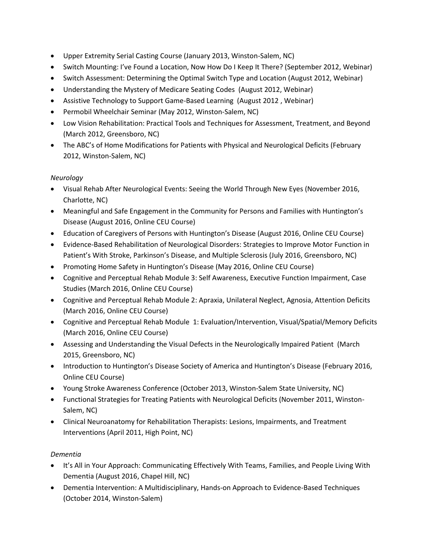- Upper Extremity Serial Casting Course (January 2013, Winston-Salem, NC)
- Switch Mounting: I've Found a Location, Now How Do I Keep It There? (September 2012, Webinar)
- Switch Assessment: Determining the Optimal Switch Type and Location (August 2012, Webinar)
- Understanding the Mystery of Medicare Seating Codes (August 2012, Webinar)
- Assistive Technology to Support Game-Based Learning (August 2012 , Webinar)
- Permobil Wheelchair Seminar (May 2012, Winston-Salem, NC)
- Low Vision Rehabilitation: Practical Tools and Techniques for Assessment, Treatment, and Beyond (March 2012, Greensboro, NC)
- The ABC's of Home Modifications for Patients with Physical and Neurological Deficits (February 2012, Winston-Salem, NC)

# *Neurology*

- Visual Rehab After Neurological Events: Seeing the World Through New Eyes (November 2016, Charlotte, NC)
- Meaningful and Safe Engagement in the Community for Persons and Families with Huntington's Disease (August 2016, Online CEU Course)
- Education of Caregivers of Persons with Huntington's Disease (August 2016, Online CEU Course)
- Evidence-Based Rehabilitation of Neurological Disorders: Strategies to Improve Motor Function in Patient's With Stroke, Parkinson's Disease, and Multiple Sclerosis (July 2016, Greensboro, NC)
- Promoting Home Safety in Huntington's Disease (May 2016, Online CEU Course)
- Cognitive and Perceptual Rehab Module 3: Self Awareness, Executive Function Impairment, Case Studies (March 2016, Online CEU Course)
- Cognitive and Perceptual Rehab Module 2: Apraxia, Unilateral Neglect, Agnosia, Attention Deficits (March 2016, Online CEU Course)
- Cognitive and Perceptual Rehab Module 1: Evaluation/Intervention, Visual/Spatial/Memory Deficits (March 2016, Online CEU Course)
- Assessing and Understanding the Visual Defects in the Neurologically Impaired Patient (March 2015, Greensboro, NC)
- Introduction to Huntington's Disease Society of America and Huntington's Disease (February 2016, Online CEU Course)
- Young Stroke Awareness Conference (October 2013, Winston-Salem State University, NC)
- Functional Strategies for Treating Patients with Neurological Deficits (November 2011, Winston-Salem, NC)
- Clinical Neuroanatomy for Rehabilitation Therapists: Lesions, Impairments, and Treatment Interventions (April 2011, High Point, NC)

# *Dementia*

- It's All in Your Approach: Communicating Effectively With Teams, Families, and People Living With Dementia (August 2016, Chapel Hill, NC)
- Dementia Intervention: A Multidisciplinary, Hands-on Approach to Evidence-Based Techniques (October 2014, Winston-Salem)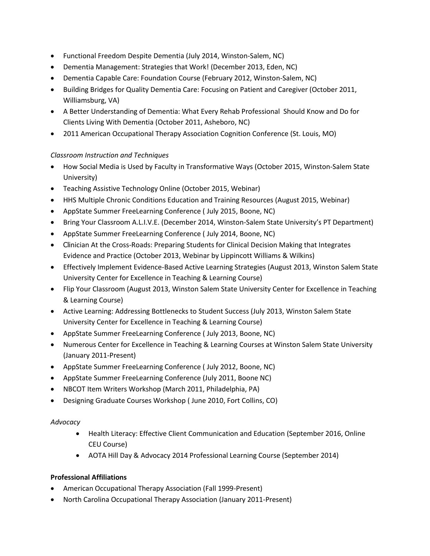- Functional Freedom Despite Dementia (July 2014, Winston-Salem, NC)
- Dementia Management: Strategies that Work! (December 2013, Eden, NC)
- Dementia Capable Care: Foundation Course (February 2012, Winston-Salem, NC)
- Building Bridges for Quality Dementia Care: Focusing on Patient and Caregiver (October 2011, Williamsburg, VA)
- A Better Understanding of Dementia: What Every Rehab Professional Should Know and Do for Clients Living With Dementia (October 2011, Asheboro, NC)
- 2011 American Occupational Therapy Association Cognition Conference (St. Louis, MO)

### *Classroom Instruction and Techniques*

- How Social Media is Used by Faculty in Transformative Ways (October 2015, Winston-Salem State University)
- Teaching Assistive Technology Online (October 2015, Webinar)
- HHS Multiple Chronic Conditions Education and Training Resources (August 2015, Webinar)
- AppState Summer FreeLearning Conference ( July 2015, Boone, NC)
- Bring Your Classroom A.L.I.V.E. (December 2014, Winston-Salem State University's PT Department)
- AppState Summer FreeLearning Conference ( July 2014, Boone, NC)
- Clinician At the Cross-Roads: Preparing Students for Clinical Decision Making that Integrates Evidence and Practice (October 2013, Webinar by Lippincott Williams & Wilkins)
- Effectively Implement Evidence-Based Active Learning Strategies (August 2013, Winston Salem State University Center for Excellence in Teaching & Learning Course)
- Flip Your Classroom (August 2013, Winston Salem State University Center for Excellence in Teaching & Learning Course)
- Active Learning: Addressing Bottlenecks to Student Success (July 2013, Winston Salem State University Center for Excellence in Teaching & Learning Course)
- AppState Summer FreeLearning Conference ( July 2013, Boone, NC)
- Numerous Center for Excellence in Teaching & Learning Courses at Winston Salem State University (January 2011-Present)
- AppState Summer FreeLearning Conference ( July 2012, Boone, NC)
- AppState Summer FreeLearning Conference (July 2011, Boone NC)
- NBCOT Item Writers Workshop (March 2011, Philadelphia, PA)
- Designing Graduate Courses Workshop ( June 2010, Fort Collins, CO)

#### *Advocacy*

- Health Literacy: Effective Client Communication and Education (September 2016, Online CEU Course)
- AOTA Hill Day & Advocacy 2014 Professional Learning Course (September 2014)

#### **Professional Affiliations**

- American Occupational Therapy Association (Fall 1999-Present)
- North Carolina Occupational Therapy Association (January 2011-Present)